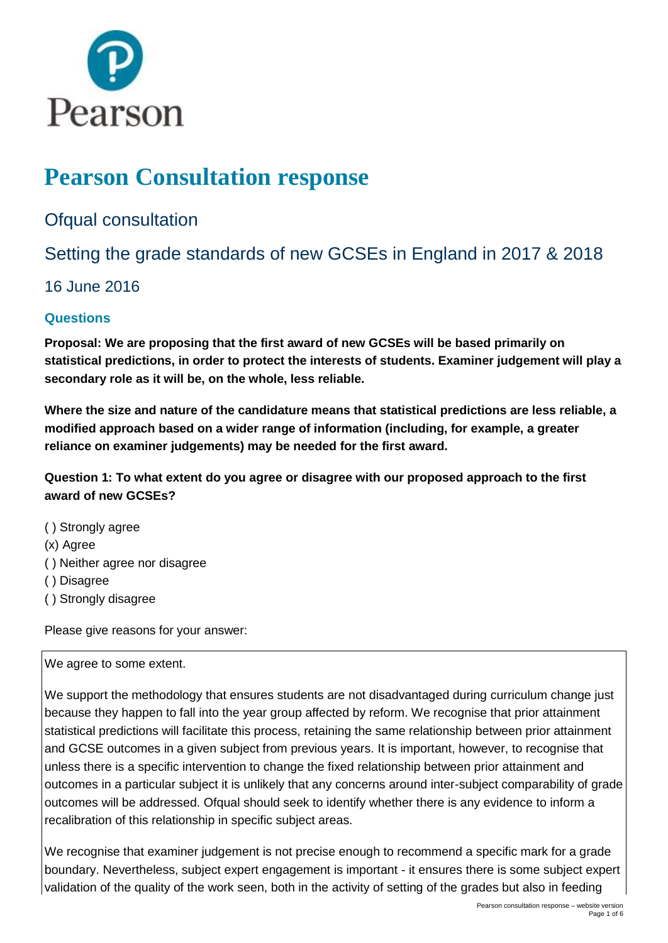

# **Pearson Consultation response**

Ofqual consultation

Setting the grade standards of new GCSEs in England in 2017 & 2018

16 June 2016

## **Questions**

**Proposal: We are proposing that the first award of new GCSEs will be based primarily on statistical predictions, in order to protect the interests of students. Examiner judgement will play a secondary role as it will be, on the whole, less reliable.** 

**Where the size and nature of the candidature means that statistical predictions are less reliable, a modified approach based on a wider range of information (including, for example, a greater reliance on examiner judgements) may be needed for the first award.** 

**Question 1: To what extent do you agree or disagree with our proposed approach to the first award of new GCSEs?** 

- ( ) Strongly agree
- (x) Agree
- ( ) Neither agree nor disagree
- ( ) Disagree
- ( ) Strongly disagree

Please give reasons for your answer:

We agree to some extent.

We support the methodology that ensures students are not disadvantaged during curriculum change just because they happen to fall into the year group affected by reform. We recognise that prior attainment statistical predictions will facilitate this process, retaining the same relationship between prior attainment and GCSE outcomes in a given subject from previous years. It is important, however, to recognise that unless there is a specific intervention to change the fixed relationship between prior attainment and outcomes in a particular subject it is unlikely that any concerns around inter-subject comparability of grade outcomes will be addressed. Ofqual should seek to identify whether there is any evidence to inform a recalibration of this relationship in specific subject areas.

We recognise that examiner judgement is not precise enough to recommend a specific mark for a grade boundary. Nevertheless, subject expert engagement is important - it ensures there is some subject expert validation of the quality of the work seen, both in the activity of setting of the grades but also in feeding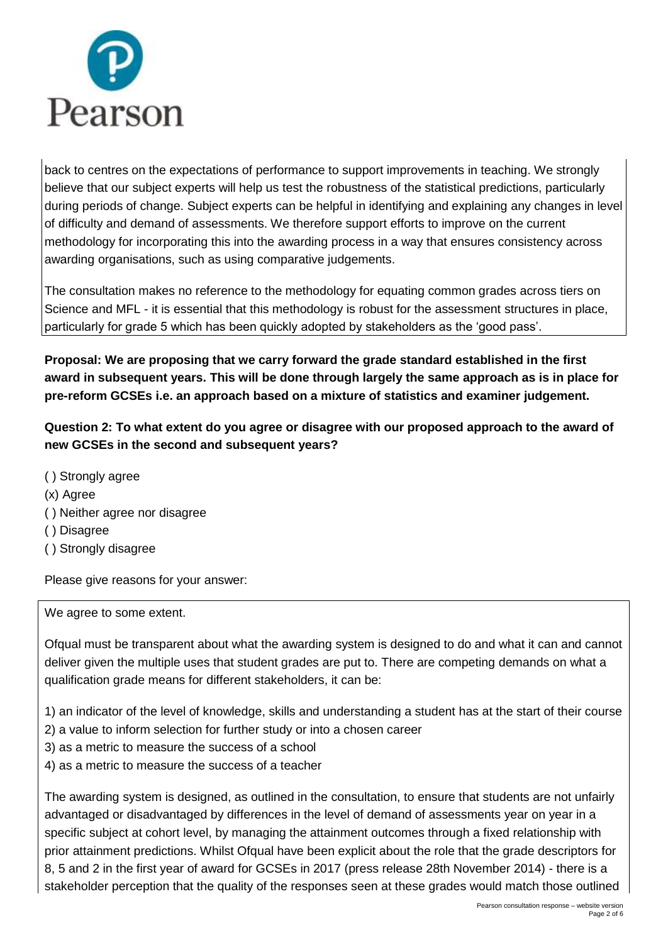

back to centres on the expectations of performance to support improvements in teaching. We strongly believe that our subject experts will help us test the robustness of the statistical predictions, particularly during periods of change. Subject experts can be helpful in identifying and explaining any changes in level of difficulty and demand of assessments. We therefore support efforts to improve on the current methodology for incorporating this into the awarding process in a way that ensures consistency across awarding organisations, such as using comparative judgements.

The consultation makes no reference to the methodology for equating common grades across tiers on Science and MFL - it is essential that this methodology is robust for the assessment structures in place, particularly for grade 5 which has been quickly adopted by stakeholders as the 'good pass'.

**Proposal: We are proposing that we carry forward the grade standard established in the first award in subsequent years. This will be done through largely the same approach as is in place for pre-reform GCSEs i.e. an approach based on a mixture of statistics and examiner judgement.** 

**Question 2: To what extent do you agree or disagree with our proposed approach to the award of new GCSEs in the second and subsequent years?** 

- ( ) Strongly agree
- (x) Agree
- ( ) Neither agree nor disagree
- ( ) Disagree
- ( ) Strongly disagree

Please give reasons for your answer:

We agree to some extent.

Ofqual must be transparent about what the awarding system is designed to do and what it can and cannot deliver given the multiple uses that student grades are put to. There are competing demands on what a qualification grade means for different stakeholders, it can be:

1) an indicator of the level of knowledge, skills and understanding a student has at the start of their course

- 2) a value to inform selection for further study or into a chosen career
- 3) as a metric to measure the success of a school
- 4) as a metric to measure the success of a teacher

The awarding system is designed, as outlined in the consultation, to ensure that students are not unfairly advantaged or disadvantaged by differences in the level of demand of assessments year on year in a specific subject at cohort level, by managing the attainment outcomes through a fixed relationship with prior attainment predictions. Whilst Ofqual have been explicit about the role that the grade descriptors for 8, 5 and 2 in the first year of award for GCSEs in 2017 (press release 28th November 2014) - there is a stakeholder perception that the quality of the responses seen at these grades would match those outlined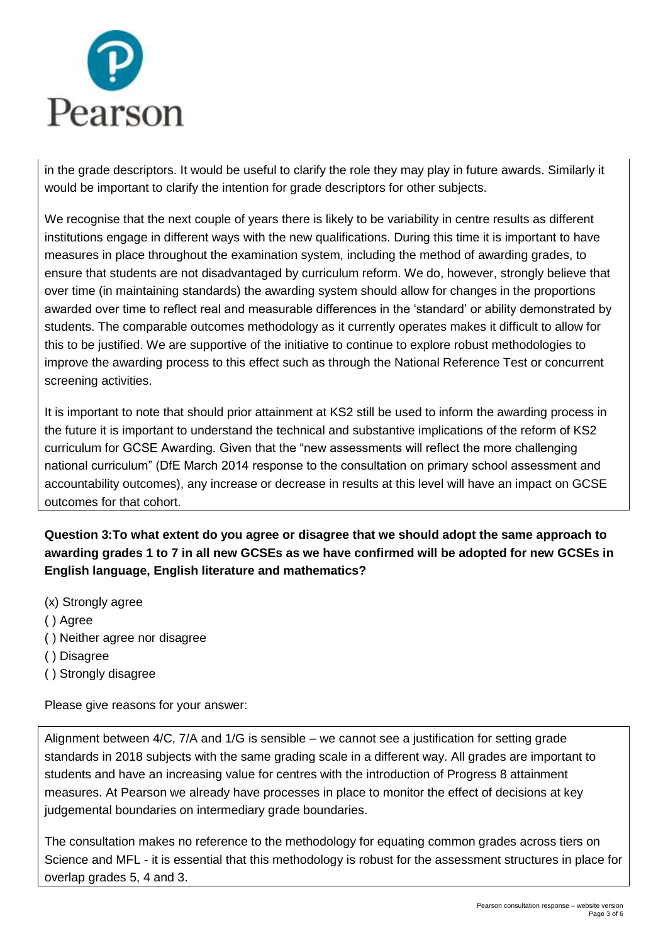

in the grade descriptors. It would be useful to clarify the role they may play in future awards. Similarly it would be important to clarify the intention for grade descriptors for other subjects.

We recognise that the next couple of years there is likely to be variability in centre results as different institutions engage in different ways with the new qualifications. During this time it is important to have measures in place throughout the examination system, including the method of awarding grades, to ensure that students are not disadvantaged by curriculum reform. We do, however, strongly believe that over time (in maintaining standards) the awarding system should allow for changes in the proportions awarded over time to reflect real and measurable differences in the 'standard' or ability demonstrated by students. The comparable outcomes methodology as it currently operates makes it difficult to allow for this to be justified. We are supportive of the initiative to continue to explore robust methodologies to improve the awarding process to this effect such as through the National Reference Test or concurrent screening activities.

It is important to note that should prior attainment at KS2 still be used to inform the awarding process in the future it is important to understand the technical and substantive implications of the reform of KS2 curriculum for GCSE Awarding. Given that the "new assessments will reflect the more challenging national curriculum" (DfE March 2014 response to the consultation on primary school assessment and accountability outcomes), any increase or decrease in results at this level will have an impact on GCSE outcomes for that cohort.

**Question 3:To what extent do you agree or disagree that we should adopt the same approach to awarding grades 1 to 7 in all new GCSEs as we have confirmed will be adopted for new GCSEs in English language, English literature and mathematics?** 

- (x) Strongly agree
- ( ) Agree
- ( ) Neither agree nor disagree
- ( ) Disagree
- ( ) Strongly disagree

Please give reasons for your answer:

Alignment between 4/C, 7/A and 1/G is sensible – we cannot see a justification for setting grade standards in 2018 subjects with the same grading scale in a different way. All grades are important to students and have an increasing value for centres with the introduction of Progress 8 attainment measures. At Pearson we already have processes in place to monitor the effect of decisions at key judgemental boundaries on intermediary grade boundaries.

The consultation makes no reference to the methodology for equating common grades across tiers on Science and MFL - it is essential that this methodology is robust for the assessment structures in place for overlap grades 5, 4 and 3.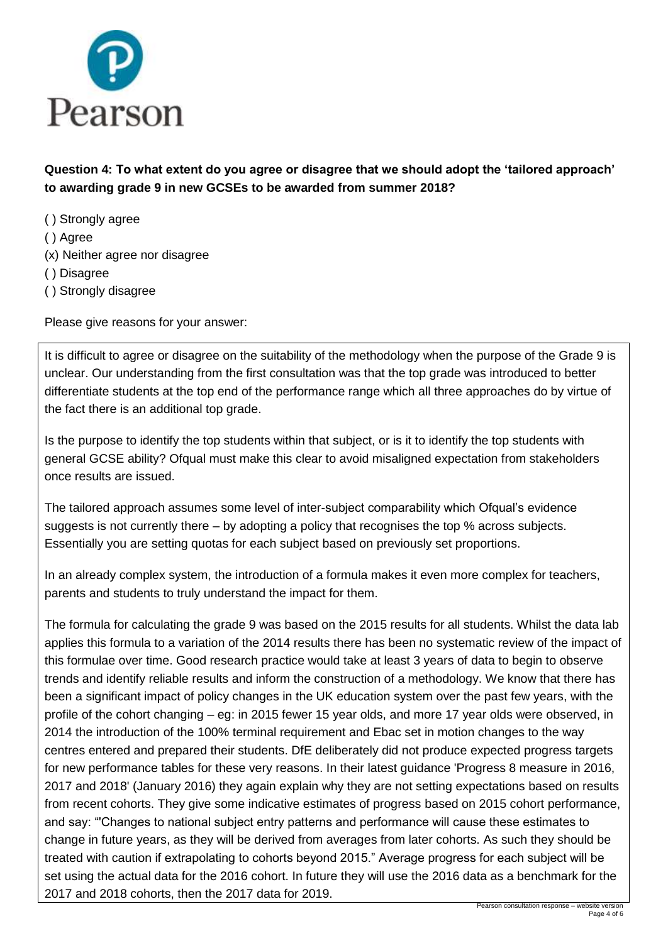

**Question 4: To what extent do you agree or disagree that we should adopt the 'tailored approach' to awarding grade 9 in new GCSEs to be awarded from summer 2018?** 

- ( ) Strongly agree ( ) Agree (x) Neither agree nor disagree ( ) Disagree
- ( ) Strongly disagree

Please give reasons for your answer:

It is difficult to agree or disagree on the suitability of the methodology when the purpose of the Grade 9 is unclear. Our understanding from the first consultation was that the top grade was introduced to better differentiate students at the top end of the performance range which all three approaches do by virtue of the fact there is an additional top grade.

Is the purpose to identify the top students within that subject, or is it to identify the top students with general GCSE ability? Ofqual must make this clear to avoid misaligned expectation from stakeholders once results are issued.

The tailored approach assumes some level of inter-subject comparability which Ofqual's evidence suggests is not currently there – by adopting a policy that recognises the top % across subjects. Essentially you are setting quotas for each subject based on previously set proportions.

In an already complex system, the introduction of a formula makes it even more complex for teachers, parents and students to truly understand the impact for them.

The formula for calculating the grade 9 was based on the 2015 results for all students. Whilst the data lab applies this formula to a variation of the 2014 results there has been no systematic review of the impact of this formulae over time. Good research practice would take at least 3 years of data to begin to observe trends and identify reliable results and inform the construction of a methodology. We know that there has been a significant impact of policy changes in the UK education system over the past few years, with the profile of the cohort changing – eg: in 2015 fewer 15 year olds, and more 17 year olds were observed, in 2014 the introduction of the 100% terminal requirement and Ebac set in motion changes to the way centres entered and prepared their students. DfE deliberately did not produce expected progress targets for new performance tables for these very reasons. In their latest guidance 'Progress 8 measure in 2016, 2017 and 2018' (January 2016) they again explain why they are not setting expectations based on results from recent cohorts. They give some indicative estimates of progress based on 2015 cohort performance, and say: "'Changes to national subject entry patterns and performance will cause these estimates to change in future years, as they will be derived from averages from later cohorts. As such they should be treated with caution if extrapolating to cohorts beyond 2015." Average progress for each subject will be set using the actual data for the 2016 cohort. In future they will use the 2016 data as a benchmark for the 2017 and 2018 cohorts, then the 2017 data for 2019.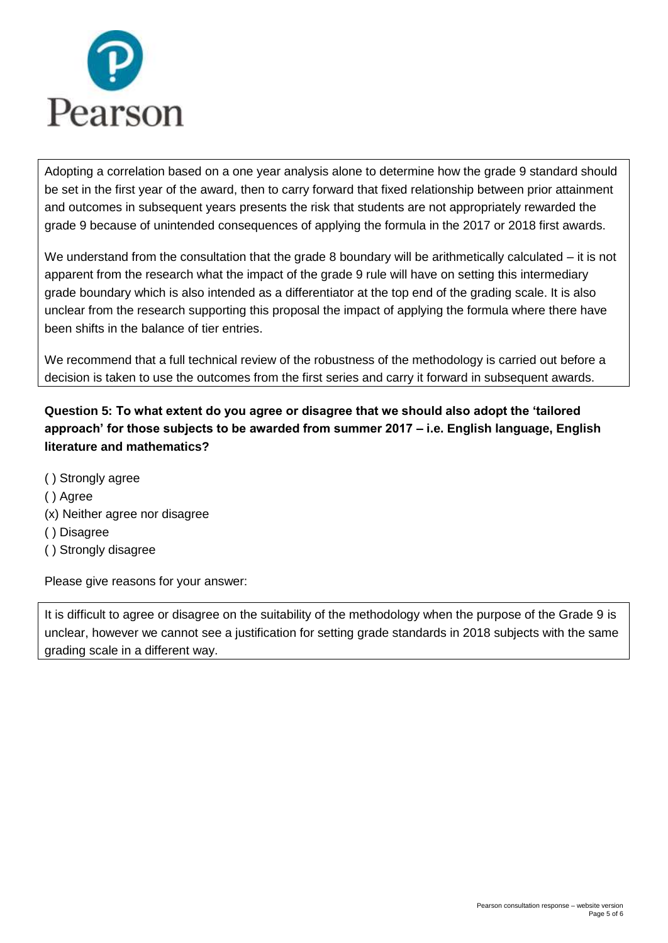

Adopting a correlation based on a one year analysis alone to determine how the grade 9 standard should be set in the first year of the award, then to carry forward that fixed relationship between prior attainment and outcomes in subsequent years presents the risk that students are not appropriately rewarded the grade 9 because of unintended consequences of applying the formula in the 2017 or 2018 first awards.

We understand from the consultation that the grade 8 boundary will be arithmetically calculated – it is not apparent from the research what the impact of the grade 9 rule will have on setting this intermediary grade boundary which is also intended as a differentiator at the top end of the grading scale. It is also unclear from the research supporting this proposal the impact of applying the formula where there have been shifts in the balance of tier entries.

We recommend that a full technical review of the robustness of the methodology is carried out before a decision is taken to use the outcomes from the first series and carry it forward in subsequent awards.

## **Question 5: To what extent do you agree or disagree that we should also adopt the 'tailored approach' for those subjects to be awarded from summer 2017 – i.e. English language, English literature and mathematics?**

- ( ) Strongly agree
- ( ) Agree
- (x) Neither agree nor disagree
- ( ) Disagree
- ( ) Strongly disagree

Please give reasons for your answer:

It is difficult to agree or disagree on the suitability of the methodology when the purpose of the Grade 9 is unclear, however we cannot see a justification for setting grade standards in 2018 subjects with the same grading scale in a different way.